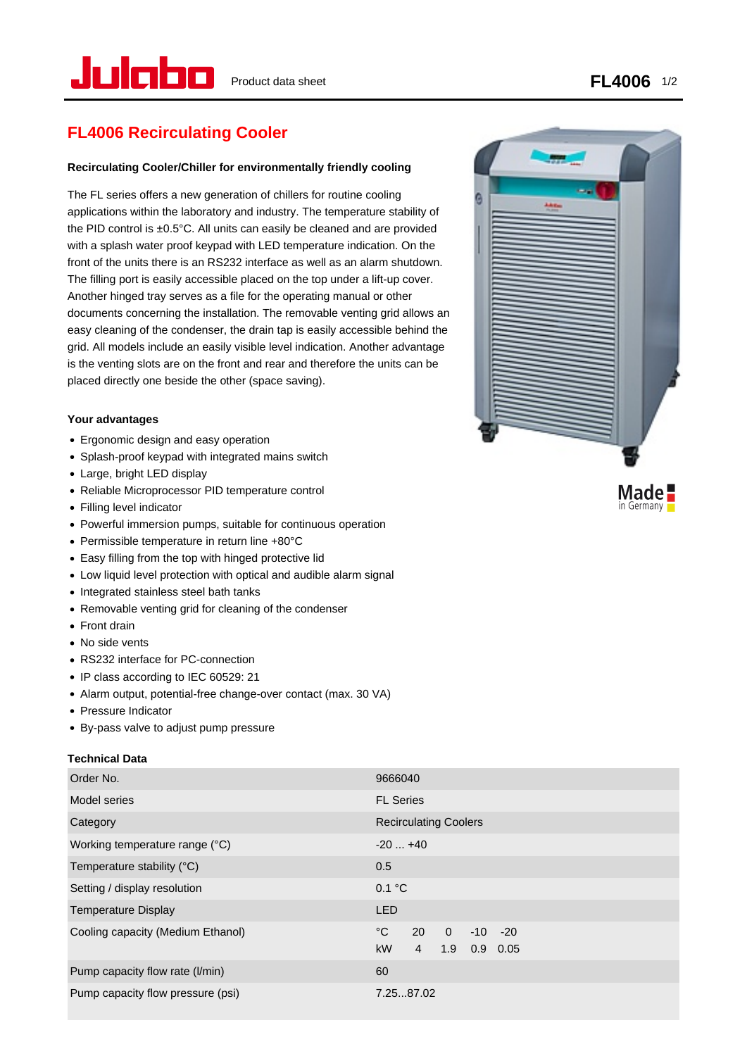in Germany

# **FL4006 Recirculating Cooler**

# **Recirculating Cooler/Chiller for environmentally friendly cooling**

The FL series offers a new generation of chillers for routine cooling applications within the laboratory and industry. The temperature stability of the PID control is ±0.5°C. All units can easily be cleaned and are provided with a splash water proof keypad with LED temperature indication. On the front of the units there is an RS232 interface as well as an alarm shutdown. The filling port is easily accessible placed on the top under a lift-up cover. Another hinged tray serves as a file for the operating manual or other documents concerning the installation. The removable venting grid allows an easy cleaning of the condenser, the drain tap is easily accessible behind the grid. All models include an easily visible level indication. Another advantage is the venting slots are on the front and rear and therefore the units can be placed directly one beside the other (space saving).

# **Your advantages**

- Ergonomic design and easy operation
- Splash-proof keypad with integrated mains switch
- Large, bright LED display
- Reliable Microprocessor PID temperature control
- Filling level indicator
- Powerful immersion pumps, suitable for continuous operation
- Permissible temperature in return line +80°C
- Easy filling from the top with hinged protective lid
- Low liquid level protection with optical and audible alarm signal
- Integrated stainless steel bath tanks
- Removable venting grid for cleaning of the condenser
- Front drain
- No side vents
- RS232 interface for PC-connection
- IP class according to IEC 60529: 21
- Alarm output, potential-free change-over contact (max. 30 VA)
- Pressure Indicator
- By-pass valve to adjust pump pressure

## **Technical Data**

| Order No.                         | 9666040                                                                                     |
|-----------------------------------|---------------------------------------------------------------------------------------------|
| Model series                      | <b>FL Series</b>                                                                            |
| Category                          | <b>Recirculating Coolers</b>                                                                |
| Working temperature range (°C)    | $-20+40$                                                                                    |
| Temperature stability (°C)        | 0.5                                                                                         |
| Setting / display resolution      | 0.1 °C                                                                                      |
| <b>Temperature Display</b>        | <b>LED</b>                                                                                  |
| Cooling capacity (Medium Ethanol) | °C<br>20<br>$\Omega$<br>$-10 - 20$<br><b>kW</b><br>1.9<br>$\overline{4}$<br>$0.9\quad 0.05$ |
| Pump capacity flow rate (I/min)   | 60                                                                                          |
| Pump capacity flow pressure (psi) | 7.2587.02                                                                                   |